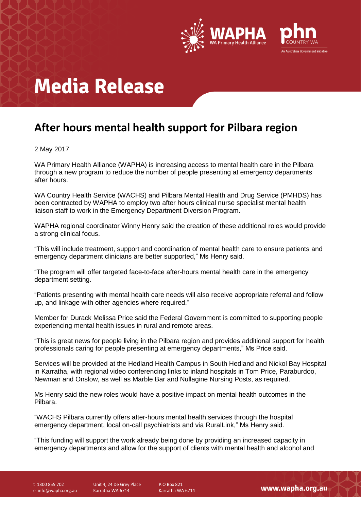

## **Media Release**

### **After hours mental health support for Pilbara region**

### 2 May 2017

WA Primary Health Alliance (WAPHA) is increasing access to mental health care in the Pilbara through a new program to reduce the number of people presenting at emergency departments after hours.

WA Country Health Service (WACHS) and Pilbara Mental Health and Drug Service (PMHDS) has been contracted by WAPHA to employ two after hours clinical nurse specialist mental health liaison staff to work in the Emergency Department Diversion Program.

WAPHA regional coordinator Winny Henry said the creation of these additional roles would provide a strong clinical focus.

"This will include treatment, support and coordination of mental health care to ensure patients and emergency department clinicians are better supported," Ms Henry said.

"The program will offer targeted face-to-face after-hours mental health care in the emergency department setting.

"Patients presenting with mental health care needs will also receive appropriate referral and follow up, and linkage with other agencies where required."

Member for Durack Melissa Price said the Federal Government is committed to supporting people experiencing mental health issues in rural and remote areas.

"This is great news for people living in the Pilbara region and provides additional support for health professionals caring for people presenting at emergency departments," Ms Price said.

Services will be provided at the Hedland Health Campus in South Hedland and Nickol Bay Hospital in Karratha, with regional video conferencing links to inland hospitals in Tom Price, Paraburdoo, Newman and Onslow, as well as Marble Bar and Nullagine Nursing Posts, as required.

Ms Henry said the new roles would have a positive impact on mental health outcomes in the Pilbara.

"WACHS Pilbara currently offers after-hours mental health services through the hospital emergency department, local on-call psychiatrists and via RuralLink," Ms Henry said.

"This funding will support the work already being done by providing an increased capacity in emergency departments and allow for the support of clients with mental health and alcohol and

t 1300 855 702 e info@wapha.org.au Unit 4, 24 De Grey Place Karratha WA 6714

P.O Box 821 Karratha WA 6714

www.wapha.org.au